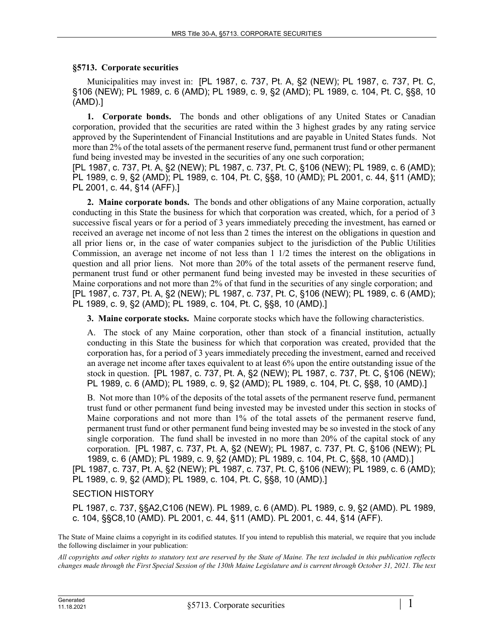## **§5713. Corporate securities**

Municipalities may invest in: [PL 1987, c. 737, Pt. A, §2 (NEW); PL 1987, c. 737, Pt. C, §106 (NEW); PL 1989, c. 6 (AMD); PL 1989, c. 9, §2 (AMD); PL 1989, c. 104, Pt. C, §§8, 10 (AMD).]

**1. Corporate bonds.** The bonds and other obligations of any United States or Canadian corporation, provided that the securities are rated within the 3 highest grades by any rating service approved by the Superintendent of Financial Institutions and are payable in United States funds. Not more than 2% of the total assets of the permanent reserve fund, permanent trust fund or other permanent fund being invested may be invested in the securities of any one such corporation;

[PL 1987, c. 737, Pt. A, §2 (NEW); PL 1987, c. 737, Pt. C, §106 (NEW); PL 1989, c. 6 (AMD); PL 1989, c. 9, §2 (AMD); PL 1989, c. 104, Pt. C, §§8, 10 (AMD); PL 2001, c. 44, §11 (AMD); PL 2001, c. 44, §14 (AFF).]

**2. Maine corporate bonds.** The bonds and other obligations of any Maine corporation, actually conducting in this State the business for which that corporation was created, which, for a period of 3 successive fiscal years or for a period of 3 years immediately preceding the investment, has earned or received an average net income of not less than 2 times the interest on the obligations in question and all prior liens or, in the case of water companies subject to the jurisdiction of the Public Utilities Commission, an average net income of not less than 1 1/2 times the interest on the obligations in question and all prior liens. Not more than 20% of the total assets of the permanent reserve fund, permanent trust fund or other permanent fund being invested may be invested in these securities of Maine corporations and not more than 2% of that fund in the securities of any single corporation; and [PL 1987, c. 737, Pt. A, §2 (NEW); PL 1987, c. 737, Pt. C, §106 (NEW); PL 1989, c. 6 (AMD); PL 1989, c. 9, §2 (AMD); PL 1989, c. 104, Pt. C, §§8, 10 (AMD).]

**3. Maine corporate stocks.** Maine corporate stocks which have the following characteristics.

A. The stock of any Maine corporation, other than stock of a financial institution, actually conducting in this State the business for which that corporation was created, provided that the corporation has, for a period of 3 years immediately preceding the investment, earned and received an average net income after taxes equivalent to at least 6% upon the entire outstanding issue of the stock in question. [PL 1987, c. 737, Pt. A, §2 (NEW); PL 1987, c. 737, Pt. C, §106 (NEW); PL 1989, c. 6 (AMD); PL 1989, c. 9, §2 (AMD); PL 1989, c. 104, Pt. C, §§8, 10 (AMD).]

B. Not more than 10% of the deposits of the total assets of the permanent reserve fund, permanent trust fund or other permanent fund being invested may be invested under this section in stocks of Maine corporations and not more than 1% of the total assets of the permanent reserve fund, permanent trust fund or other permanent fund being invested may be so invested in the stock of any single corporation. The fund shall be invested in no more than 20% of the capital stock of any corporation. [PL 1987, c. 737, Pt. A, §2 (NEW); PL 1987, c. 737, Pt. C, §106 (NEW); PL 1989, c. 6 (AMD); PL 1989, c. 9, §2 (AMD); PL 1989, c. 104, Pt. C, §§8, 10 (AMD).] [PL 1987, c. 737, Pt. A, §2 (NEW); PL 1987, c. 737, Pt. C, §106 (NEW); PL 1989, c. 6 (AMD);

PL 1989, c. 9, §2 (AMD); PL 1989, c. 104, Pt. C, §§8, 10 (AMD).]

## SECTION HISTORY

PL 1987, c. 737, §§A2,C106 (NEW). PL 1989, c. 6 (AMD). PL 1989, c. 9, §2 (AMD). PL 1989, c. 104, §§C8,10 (AMD). PL 2001, c. 44, §11 (AMD). PL 2001, c. 44, §14 (AFF).

The State of Maine claims a copyright in its codified statutes. If you intend to republish this material, we require that you include the following disclaimer in your publication:

*All copyrights and other rights to statutory text are reserved by the State of Maine. The text included in this publication reflects changes made through the First Special Session of the 130th Maine Legislature and is current through October 31, 2021. The text*